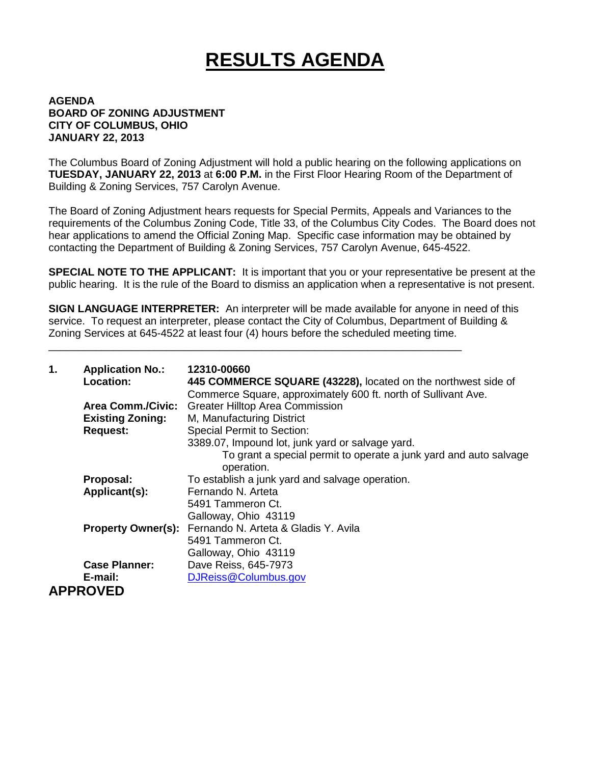## **RESULTS AGENDA**

## **AGENDA BOARD OF ZONING ADJUSTMENT CITY OF COLUMBUS, OHIO JANUARY 22, 2013**

The Columbus Board of Zoning Adjustment will hold a public hearing on the following applications on **TUESDAY, JANUARY 22, 2013** at **6:00 P.M.** in the First Floor Hearing Room of the Department of Building & Zoning Services, 757 Carolyn Avenue.

The Board of Zoning Adjustment hears requests for Special Permits, Appeals and Variances to the requirements of the Columbus Zoning Code, Title 33, of the Columbus City Codes. The Board does not hear applications to amend the Official Zoning Map. Specific case information may be obtained by contacting the Department of Building & Zoning Services, 757 Carolyn Avenue, 645-4522.

**SPECIAL NOTE TO THE APPLICANT:** It is important that you or your representative be present at the public hearing. It is the rule of the Board to dismiss an application when a representative is not present.

**SIGN LANGUAGE INTERPRETER:** An interpreter will be made available for anyone in need of this service. To request an interpreter, please contact the City of Columbus, Department of Building & Zoning Services at 645-4522 at least four (4) hours before the scheduled meeting time.

\_\_\_\_\_\_\_\_\_\_\_\_\_\_\_\_\_\_\_\_\_\_\_\_\_\_\_\_\_\_\_\_\_\_\_\_\_\_\_\_\_\_\_\_\_\_\_\_\_\_\_\_\_\_\_\_\_\_\_\_\_\_\_\_\_\_\_\_\_\_

| 1. | <b>Application No.:</b><br>Location: | 12310-00660<br>445 COMMERCE SQUARE (43228), located on the northwest side of<br>Commerce Square, approximately 600 ft. north of Sullivant Ave. |
|----|--------------------------------------|------------------------------------------------------------------------------------------------------------------------------------------------|
|    | <b>Area Comm./Civic:</b>             | <b>Greater Hilltop Area Commission</b>                                                                                                         |
|    | <b>Existing Zoning:</b>              | M, Manufacturing District                                                                                                                      |
|    | <b>Request:</b>                      | <b>Special Permit to Section:</b>                                                                                                              |
|    |                                      | 3389.07, Impound lot, junk yard or salvage yard.                                                                                               |
|    |                                      | To grant a special permit to operate a junk yard and auto salvage<br>operation.                                                                |
|    | Proposal:                            | To establish a junk yard and salvage operation.                                                                                                |
|    | Applicant(s):                        | Fernando N. Arteta                                                                                                                             |
|    |                                      | 5491 Tammeron Ct.                                                                                                                              |
|    |                                      | Galloway, Ohio 43119                                                                                                                           |
|    |                                      | Property Owner(s): Fernando N. Arteta & Gladis Y. Avila                                                                                        |
|    |                                      | 5491 Tammeron Ct.                                                                                                                              |
|    |                                      | Galloway, Ohio 43119                                                                                                                           |
|    | <b>Case Planner:</b>                 | Dave Reiss, 645-7973                                                                                                                           |
|    | E-mail:                              | DJReiss@Columbus.gov                                                                                                                           |
|    | <b>APPROVED</b>                      |                                                                                                                                                |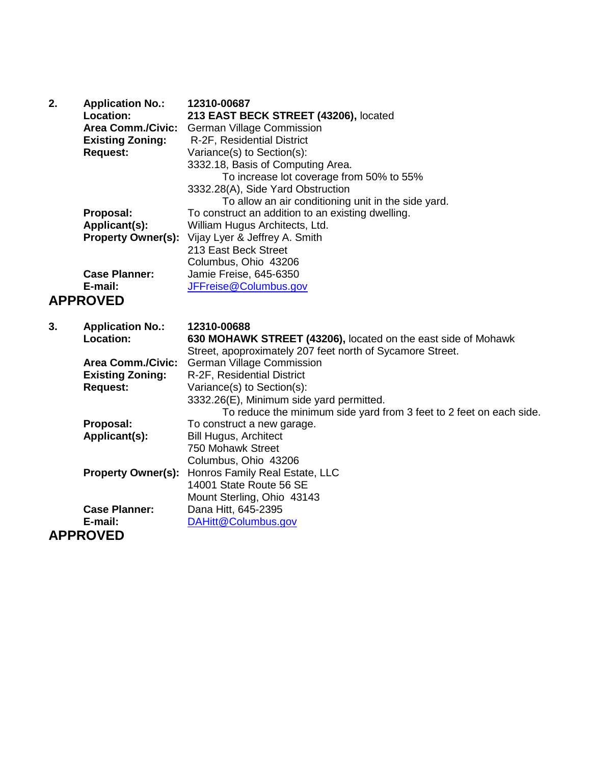| 2. | <b>Application No.:</b>   | 12310-00687                                                         |
|----|---------------------------|---------------------------------------------------------------------|
|    | Location:                 | 213 EAST BECK STREET (43206), located                               |
|    | <b>Area Comm./Civic:</b>  | <b>German Village Commission</b>                                    |
|    | <b>Existing Zoning:</b>   | R-2F, Residential District                                          |
|    | <b>Request:</b>           | Variance(s) to Section(s):                                          |
|    |                           | 3332.18, Basis of Computing Area.                                   |
|    |                           | To increase lot coverage from 50% to 55%                            |
|    |                           | 3332.28(A), Side Yard Obstruction                                   |
|    |                           | To allow an air conditioning unit in the side yard.                 |
|    | Proposal:                 | To construct an addition to an existing dwelling.                   |
|    | Applicant(s):             | William Hugus Architects, Ltd.                                      |
|    |                           | <b>Property Owner(s):</b> Vijay Lyer & Jeffrey A. Smith             |
|    |                           | 213 East Beck Street                                                |
|    |                           | Columbus, Ohio 43206                                                |
|    | <b>Case Planner:</b>      | Jamie Freise, 645-6350                                              |
|    | E-mail:                   | JFFreise@Columbus.gov                                               |
|    | <b>APPROVED</b>           |                                                                     |
|    |                           |                                                                     |
|    |                           |                                                                     |
| 3. | <b>Application No.:</b>   | 12310-00688                                                         |
|    | Location:                 | 630 MOHAWK STREET (43206), located on the east side of Mohawk       |
|    |                           | Street, apoproximately 207 feet north of Sycamore Street.           |
|    | <b>Area Comm./Civic:</b>  | <b>German Village Commission</b>                                    |
|    | <b>Existing Zoning:</b>   | R-2F, Residential District                                          |
|    | <b>Request:</b>           | Variance(s) to Section(s):                                          |
|    |                           | 3332.26(E), Minimum side yard permitted.                            |
|    |                           | To reduce the minimum side yard from 3 feet to 2 feet on each side. |
|    | Proposal:                 | To construct a new garage.                                          |
|    | Applicant(s):             | <b>Bill Hugus, Architect</b>                                        |
|    |                           | 750 Mohawk Street                                                   |
|    |                           | Columbus, Ohio 43206                                                |
|    | <b>Property Owner(s):</b> | Honros Family Real Estate, LLC                                      |
|    |                           | 14001 State Route 56 SE                                             |
|    |                           | Mount Sterling, Ohio 43143                                          |
|    | <b>Case Planner:</b>      | Dana Hitt, 645-2395                                                 |
|    | E-mail:                   | DAHitt@Columbus.gov                                                 |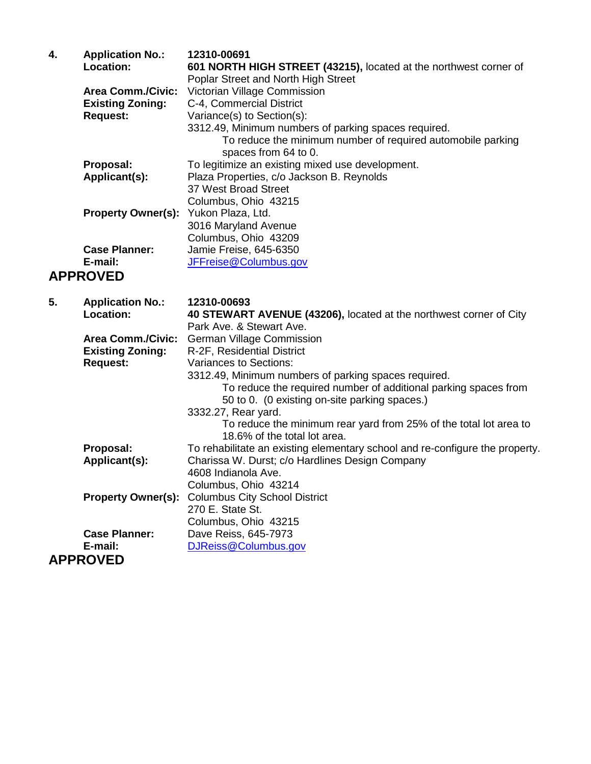| 4. | <b>Application No.:</b>              | 12310-00691                                                       |
|----|--------------------------------------|-------------------------------------------------------------------|
|    | <b>Location:</b>                     | 601 NORTH HIGH STREET (43215), located at the northwest corner of |
|    |                                      | Poplar Street and North High Street                               |
|    | <b>Area Comm./Civic:</b>             | Victorian Village Commission                                      |
|    | <b>Existing Zoning:</b>              | C-4, Commercial District                                          |
|    | <b>Request:</b>                      | Variance(s) to Section(s):                                        |
|    |                                      | 3312.49, Minimum numbers of parking spaces required.              |
|    |                                      | To reduce the minimum number of required automobile parking       |
|    |                                      | spaces from 64 to 0.                                              |
|    | Proposal:                            | To legitimize an existing mixed use development.                  |
|    | Applicant(s):                        | Plaza Properties, c/o Jackson B. Reynolds                         |
|    |                                      | 37 West Broad Street                                              |
|    |                                      | Columbus, Ohio 43215                                              |
|    | Property Owner(s): Yukon Plaza, Ltd. |                                                                   |
|    |                                      | 3016 Maryland Avenue                                              |
|    |                                      | Columbus, Ohio 43209                                              |
|    | <b>Case Planner:</b>                 | Jamie Freise, 645-6350                                            |
|    | E-mail:                              | JFFreise@Columbus.gov                                             |
|    | <b>APPROVED</b>                      |                                                                   |

| 5. | <b>Application No.:</b>  | 12310-00693                                                                                                      |
|----|--------------------------|------------------------------------------------------------------------------------------------------------------|
|    | Location:                | 40 STEWART AVENUE (43206), located at the northwest corner of City                                               |
|    |                          | Park Ave. & Stewart Ave.                                                                                         |
|    | <b>Area Comm./Civic:</b> | <b>German Village Commission</b>                                                                                 |
|    | <b>Existing Zoning:</b>  | R-2F, Residential District                                                                                       |
|    | <b>Request:</b>          | Variances to Sections:                                                                                           |
|    |                          | 3312.49, Minimum numbers of parking spaces required.                                                             |
|    |                          | To reduce the required number of additional parking spaces from<br>50 to 0. (0 existing on-site parking spaces.) |
|    |                          | 3332.27, Rear yard.                                                                                              |
|    |                          | To reduce the minimum rear yard from 25% of the total lot area to<br>18.6% of the total lot area.                |
|    | Proposal:                | To rehabilitate an existing elementary school and re-configure the property.                                     |
|    | Applicant(s):            | Charissa W. Durst; c/o Hardlines Design Company                                                                  |
|    |                          | 4608 Indianola Ave.                                                                                              |
|    |                          | Columbus, Ohio 43214                                                                                             |
|    |                          | <b>Property Owner(s): Columbus City School District</b>                                                          |
|    |                          | 270 E. State St.                                                                                                 |
|    |                          | Columbus, Ohio 43215                                                                                             |
|    | <b>Case Planner:</b>     | Dave Reiss, 645-7973                                                                                             |
|    | E-mail:                  | DJReiss@Columbus.gov                                                                                             |
|    | <b>APPROVED</b>          |                                                                                                                  |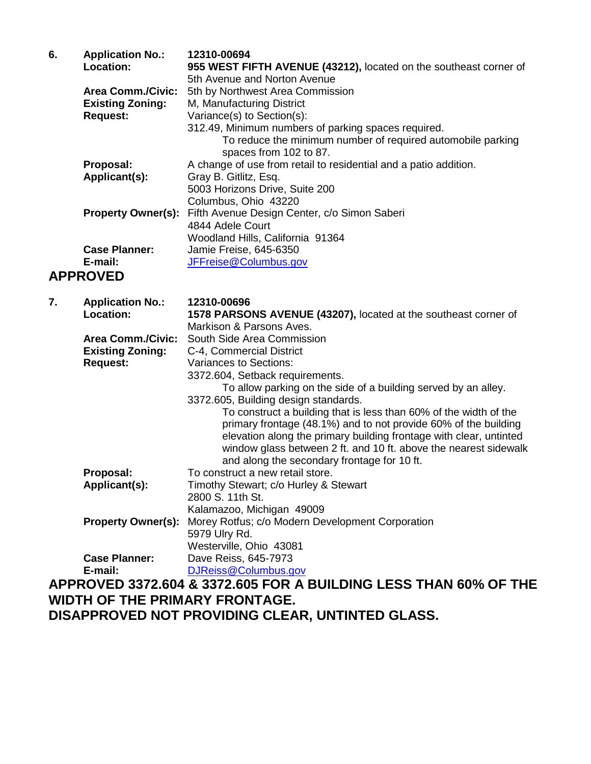| 6. | <b>Application No.:</b>   | 12310-00694                                                                           |
|----|---------------------------|---------------------------------------------------------------------------------------|
|    | <b>Location:</b>          | 955 WEST FIFTH AVENUE (43212), located on the southeast corner of                     |
|    |                           | 5th Avenue and Norton Avenue                                                          |
|    | <b>Area Comm./Civic:</b>  | 5th by Northwest Area Commission                                                      |
|    | <b>Existing Zoning:</b>   | M, Manufacturing District                                                             |
|    | <b>Request:</b>           | Variance(s) to Section(s):                                                            |
|    |                           | 312.49, Minimum numbers of parking spaces required.                                   |
|    |                           | To reduce the minimum number of required automobile parking<br>spaces from 102 to 87. |
|    | Proposal:                 | A change of use from retail to residential and a patio addition.                      |
|    | Applicant(s):             | Gray B. Gitlitz, Esq.                                                                 |
|    |                           | 5003 Horizons Drive, Suite 200                                                        |
|    |                           | Columbus, Ohio 43220                                                                  |
|    | <b>Property Owner(s):</b> | Fifth Avenue Design Center, c/o Simon Saberi                                          |
|    |                           | 4844 Adele Court                                                                      |
|    |                           | Woodland Hills, California 91364                                                      |
|    | <b>Case Planner:</b>      | Jamie Freise, 645-6350                                                                |
|    | E-mail:                   | JFFreise@Columbus.gov                                                                 |
|    | <b>APPROVED</b>           |                                                                                       |

| 7. | <b>Application No.:</b>   | 12310-00696                                                        |
|----|---------------------------|--------------------------------------------------------------------|
|    | Location:                 | 1578 PARSONS AVENUE (43207), located at the southeast corner of    |
|    |                           | Markison & Parsons Aves.                                           |
|    | <b>Area Comm./Civic:</b>  | South Side Area Commission                                         |
|    | <b>Existing Zoning:</b>   | C-4, Commercial District                                           |
|    | <b>Request:</b>           | Variances to Sections:                                             |
|    |                           | 3372.604, Setback requirements.                                    |
|    |                           | To allow parking on the side of a building served by an alley.     |
|    |                           | 3372.605, Building design standards.                               |
|    |                           | To construct a building that is less than 60% of the width of the  |
|    |                           | primary frontage (48.1%) and to not provide 60% of the building    |
|    |                           | elevation along the primary building frontage with clear, untinted |
|    |                           | window glass between 2 ft. and 10 ft. above the nearest sidewalk   |
|    |                           | and along the secondary frontage for 10 ft.                        |
|    | Proposal:                 | To construct a new retail store.                                   |
|    | Applicant(s):             | Timothy Stewart; c/o Hurley & Stewart                              |
|    |                           | 2800 S. 11th St.                                                   |
|    |                           | Kalamazoo, Michigan 49009                                          |
|    | <b>Property Owner(s):</b> | Morey Rotfus; c/o Modern Development Corporation                   |
|    |                           | 5979 Ulry Rd.                                                      |
|    |                           | Westerville, Ohio 43081                                            |
|    | <b>Case Planner:</b>      | Dave Reiss, 645-7973                                               |
|    | E-mail:                   | DJReiss@Columbus.gov                                               |
|    |                           | APPROVED 3372.604 & 3372.605 FOR A BUILDING LESS THAN 60% OF THE   |
|    |                           | WIDTH OF THE PRIMARY FRONTAGE.                                     |
|    |                           |                                                                    |

**DISAPPROVED NOT PROVIDING CLEAR, UNTINTED GLASS.**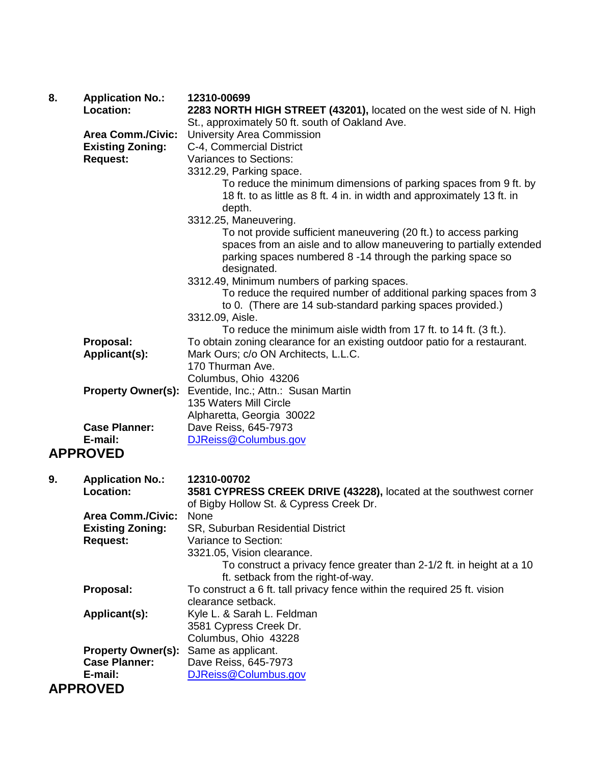| 8. | <b>Application No.:</b><br>Location: | 12310-00699<br>2283 NORTH HIGH STREET (43201), located on the west side of N. High |
|----|--------------------------------------|------------------------------------------------------------------------------------|
|    |                                      | St., approximately 50 ft. south of Oakland Ave.                                    |
|    | <b>Area Comm./Civic:</b>             | <b>University Area Commission</b>                                                  |
|    | <b>Existing Zoning:</b>              | C-4, Commercial District                                                           |
|    | <b>Request:</b>                      | <b>Variances to Sections:</b>                                                      |
|    |                                      | 3312.29, Parking space.                                                            |
|    |                                      | To reduce the minimum dimensions of parking spaces from 9 ft. by                   |
|    |                                      | 18 ft. to as little as 8 ft. 4 in. in width and approximately 13 ft. in            |
|    |                                      | depth.                                                                             |
|    |                                      | 3312.25, Maneuvering.                                                              |
|    |                                      | To not provide sufficient maneuvering (20 ft.) to access parking                   |
|    |                                      | spaces from an aisle and to allow maneuvering to partially extended                |
|    |                                      | parking spaces numbered 8 -14 through the parking space so                         |
|    |                                      | designated.                                                                        |
|    |                                      | 3312.49, Minimum numbers of parking spaces.                                        |
|    |                                      | To reduce the required number of additional parking spaces from 3                  |
|    |                                      | to 0. (There are 14 sub-standard parking spaces provided.)                         |
|    |                                      | 3312.09, Aisle.                                                                    |
|    |                                      | To reduce the minimum aisle width from 17 ft. to 14 ft. (3 ft.).                   |
|    | Proposal:                            | To obtain zoning clearance for an existing outdoor patio for a restaurant.         |
|    | Applicant(s):                        | Mark Ours; c/o ON Architects, L.L.C.                                               |
|    |                                      | 170 Thurman Ave.                                                                   |
|    |                                      | Columbus, Ohio 43206                                                               |
|    | <b>Property Owner(s):</b>            | Eventide, Inc.; Attn.: Susan Martin                                                |
|    |                                      | 135 Waters Mill Circle                                                             |
|    |                                      | Alpharetta, Georgia 30022                                                          |
|    | <b>Case Planner:</b>                 | Dave Reiss, 645-7973                                                               |
|    | E-mail:                              | DJReiss@Columbus.gov                                                               |
|    | <b>APPROVED</b>                      |                                                                                    |
| 9. | <b>Application No.:</b>              | 12310-00702                                                                        |
|    | Location:                            | 3581 CYPRESS CREEK DRIVE (43228), located at the southwest corner                  |
|    |                                      | of Bigby Hollow St. & Cypress Creek Dr.                                            |
|    | <b>Area Comm./Civic:</b>             | None                                                                               |
|    | <b>Existing Zoning:</b>              | SR, Suburban Residential District                                                  |
|    | <b>Request:</b>                      | Variance to Section:                                                               |
|    |                                      | 3321.05, Vision clearance.                                                         |
|    |                                      | To construct a privacy fence greater than 2-1/2 ft. in height at a 10              |
|    |                                      | ft. setback from the right-of-way.                                                 |
|    | Proposal:                            | To construct a 6 ft. tall privacy fence within the required 25 ft. vision          |
|    |                                      | clearance setback.                                                                 |
|    | Applicant(s):                        | Kyle L. & Sarah L. Feldman                                                         |
|    |                                      | 3581 Cypress Creek Dr.                                                             |
|    |                                      | Columbus, Ohio 43228                                                               |
|    | <b>Property Owner(s):</b>            | Same as applicant.                                                                 |
|    | <b>Case Planner:</b>                 | Dave Reiss, 645-7973                                                               |
|    | E-mail:                              | DJReiss@Columbus.gov                                                               |
|    | <b>APPROVED</b>                      |                                                                                    |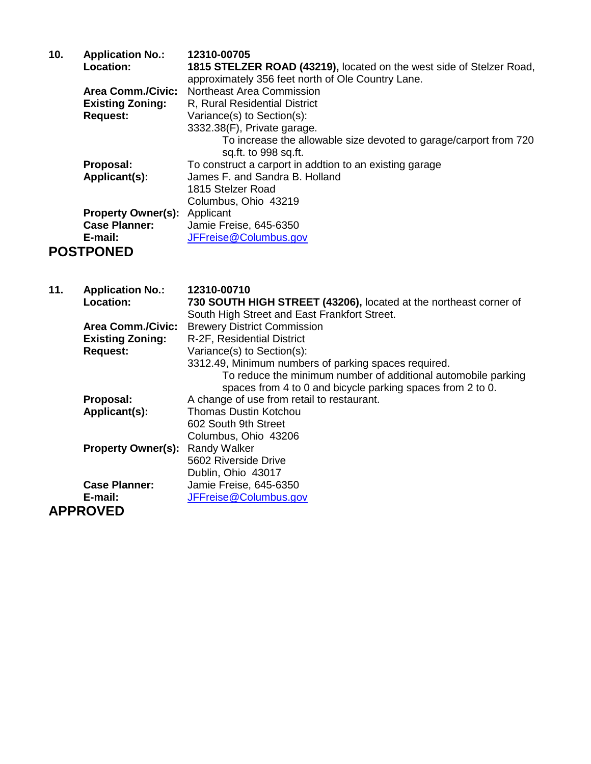| 10. | <b>Application No.:</b>   | 12310-00705                                                          |
|-----|---------------------------|----------------------------------------------------------------------|
|     | Location:                 | 1815 STELZER ROAD (43219), located on the west side of Stelzer Road, |
|     |                           | approximately 356 feet north of Ole Country Lane.                    |
|     | <b>Area Comm./Civic:</b>  | Northeast Area Commission                                            |
|     | <b>Existing Zoning:</b>   | R, Rural Residential District                                        |
|     | <b>Request:</b>           | Variance(s) to Section(s):                                           |
|     |                           | 3332.38(F), Private garage.                                          |
|     |                           | To increase the allowable size devoted to garage/carport from 720    |
|     |                           | sq.ft. to 998 sq.ft.                                                 |
|     | Proposal:                 | To construct a carport in addtion to an existing garage              |
|     | Applicant(s):             | James F. and Sandra B. Holland                                       |
|     |                           | 1815 Stelzer Road                                                    |
|     |                           | Columbus, Ohio 43219                                                 |
|     | <b>Property Owner(s):</b> | Applicant                                                            |
|     | <b>Case Planner:</b>      | Jamie Freise, 645-6350                                               |
|     | E-mail:                   | JFFreise@Columbus.gov                                                |
|     | <b>POSTPONED</b>          |                                                                      |

| 11. | <b>Application No.:</b>   | 12310-00710                                                       |
|-----|---------------------------|-------------------------------------------------------------------|
|     | <b>Location:</b>          | 730 SOUTH HIGH STREET (43206), located at the northeast corner of |
|     |                           | South High Street and East Frankfort Street.                      |
|     | <b>Area Comm./Civic:</b>  | <b>Brewery District Commission</b>                                |
|     | <b>Existing Zoning:</b>   | R-2F, Residential District                                        |
|     | <b>Request:</b>           | Variance(s) to Section(s):                                        |
|     |                           | 3312.49, Minimum numbers of parking spaces required.              |
|     |                           | To reduce the minimum number of additional automobile parking     |
|     |                           | spaces from 4 to 0 and bicycle parking spaces from 2 to 0.        |
|     | Proposal:                 | A change of use from retail to restaurant.                        |
|     | Applicant(s):             | <b>Thomas Dustin Kotchou</b>                                      |
|     |                           | 602 South 9th Street                                              |
|     |                           | Columbus, Ohio 43206                                              |
|     | <b>Property Owner(s):</b> | <b>Randy Walker</b>                                               |
|     |                           | 5602 Riverside Drive                                              |
|     |                           | Dublin, Ohio 43017                                                |
|     | <b>Case Planner:</b>      | Jamie Freise, 645-6350                                            |
|     | E-mail:                   | JFFreise@Columbus.gov                                             |
|     | <b>APPROVED</b>           |                                                                   |